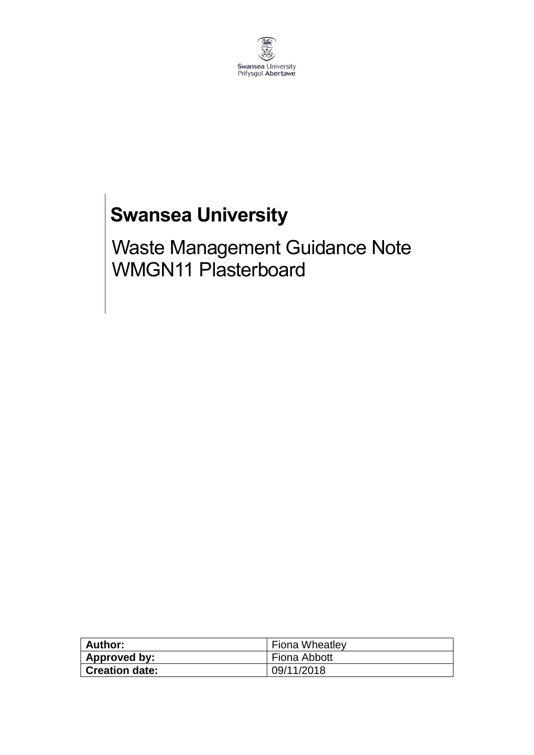

# **Swansea University**

Waste Management Guidance Note WMGN11 Plasterboard

| Author:               | <b>Fiona Wheatley</b> |
|-----------------------|-----------------------|
| Approved by:          | Fiona Abbott          |
| <b>Creation date:</b> | 09/11/2018            |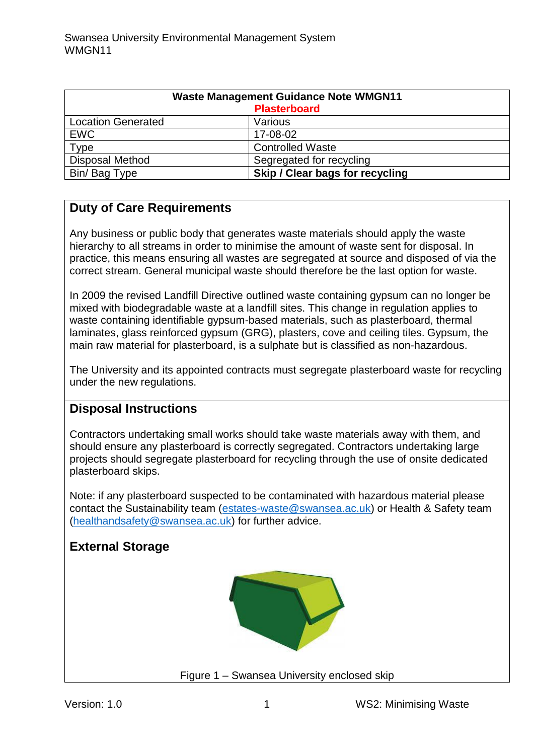| <b>Waste Management Guidance Note WMGN11</b><br><b>Plasterboard</b> |                                 |
|---------------------------------------------------------------------|---------------------------------|
|                                                                     |                                 |
| <b>Location Generated</b>                                           | Various                         |
| <b>EWC</b>                                                          | 17-08-02                        |
| Type                                                                | <b>Controlled Waste</b>         |
| <b>Disposal Method</b>                                              | Segregated for recycling        |
| Bin/Bag Type                                                        | Skip / Clear bags for recycling |

# **Duty of Care Requirements**

Any business or public body that generates waste materials should apply the waste hierarchy to all streams in order to minimise the amount of waste sent for disposal. In practice, this means ensuring all wastes are segregated at source and disposed of via the correct stream. General municipal waste should therefore be the last option for waste.

In 2009 the revised Landfill Directive outlined waste containing gypsum can no longer be mixed with biodegradable waste at a landfill sites. This change in regulation applies to waste containing identifiable gypsum-based materials, such as plasterboard, thermal laminates, glass reinforced gypsum (GRG), plasters, cove and ceiling tiles. Gypsum, the main raw material for plasterboard, is a sulphate but is classified as non-hazardous.

The University and its appointed contracts must segregate plasterboard waste for recycling under the new regulations.

#### **Disposal Instructions**

Contractors undertaking small works should take waste materials away with them, and should ensure any plasterboard is correctly segregated. Contractors undertaking large projects should segregate plasterboard for recycling through the use of onsite dedicated plasterboard skips.

Note: if any plasterboard suspected to be contaminated with hazardous material please contact the Sustainability team [\(estates-waste@swansea.ac.uk\)](mailto:estates-waste@swansea.ac.uk) or Health & Safety team [\(healthandsafety@swansea.ac.uk\)](mailto:healthandsafety@swansea.ac.uk) for further advice.

# **External Storage**



Figure 1 – Swansea University enclosed skip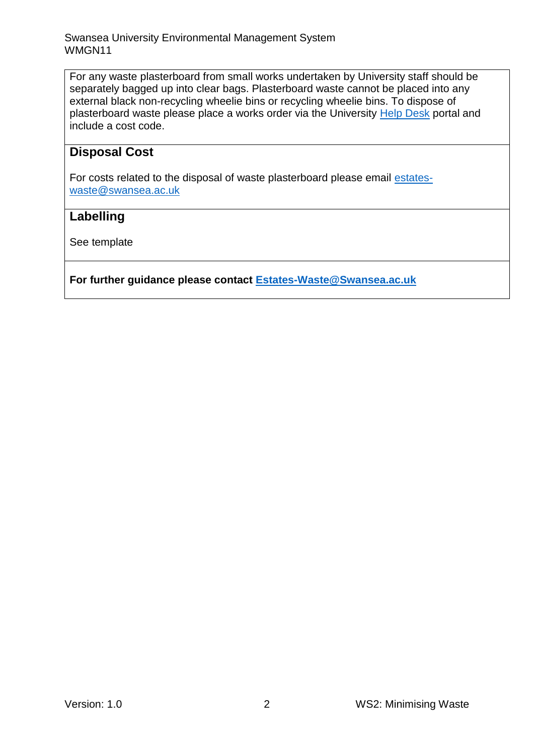For any waste plasterboard from small works undertaken by University staff should be separately bagged up into clear bags. Plasterboard waste cannot be placed into any external black non-recycling wheelie bins or recycling wheelie bins. To dispose of plasterboard waste please place a works order via the University [Help Desk](https://quemis.swan.ac.uk/Q2_Live/login) portal and include a cost code.

### **Disposal Cost**

For costs related to the disposal of waste plasterboard please email [estates](mailto:estates-waste@swansea.ac.uk)[waste@swansea.ac.uk](mailto:estates-waste@swansea.ac.uk)

### **Labelling**

See template

**For further guidance please contact [Estates-Waste@Swansea.ac.uk](mailto:Estates-Waste@Swansea.ac.uk)**